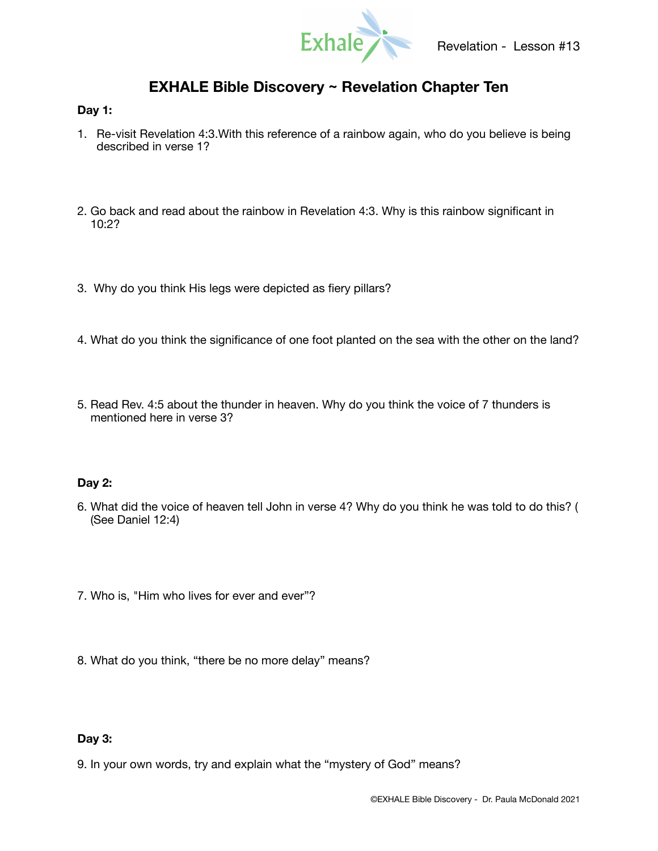

# **EXHALE Bible Discovery ~ Revelation Chapter Ten**

### **Day 1:**

- 1. Re-visit Revelation 4:3.With this reference of a rainbow again, who do you believe is being described in verse 1?
- 2. Go back and read about the rainbow in Revelation 4:3. Why is this rainbow significant in 10:2?
- 3. Why do you think His legs were depicted as fiery pillars?
- 4. What do you think the significance of one foot planted on the sea with the other on the land?
- 5. Read Rev. 4:5 about the thunder in heaven. Why do you think the voice of 7 thunders is mentioned here in verse 3?

## **Day 2:**

- 6. What did the voice of heaven tell John in verse 4? Why do you think he was told to do this? ( (See Daniel 12:4)
- 7. Who is, "Him who lives for ever and ever"?
- 8. What do you think, "there be no more delay" means?

## **Day 3:**

9. In your own words, try and explain what the "mystery of God" means?